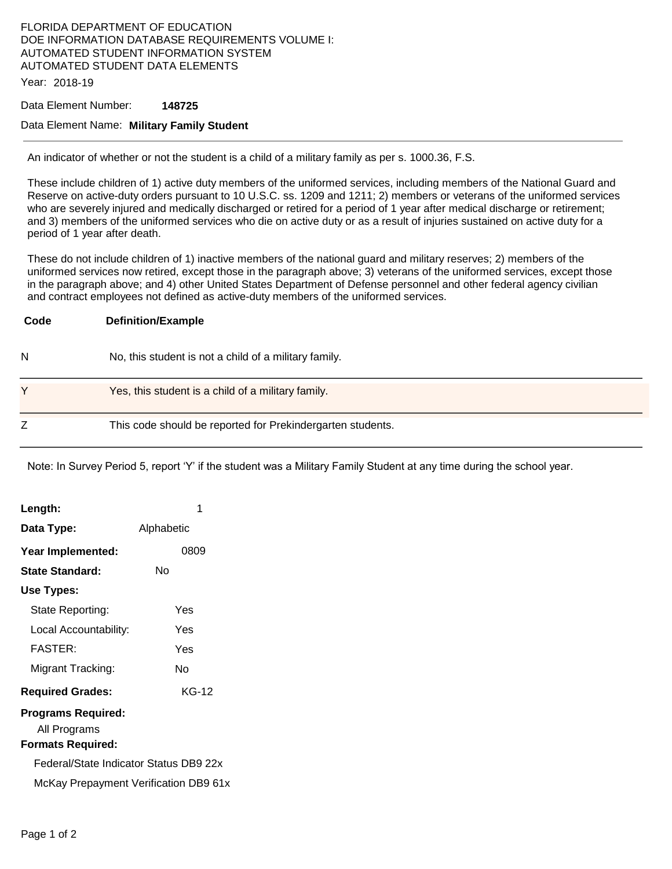## FLORIDA DEPARTMENT OF EDUCATION DOE INFORMATION DATABASE REQUIREMENTS VOLUME I: AUTOMATED STUDENT INFORMATION SYSTEM AUTOMATED STUDENT DATA ELEMENTS

Year: 2018-19

#### Data Element Number: **148725**

### Data Element Name: **Military Family Student**

An indicator of whether or not the student is a child of a military family as per s. 1000.36, F.S.

These include children of 1) active duty members of the uniformed services, including members of the National Guard and Reserve on active-duty orders pursuant to 10 U.S.C. ss. 1209 and 1211; 2) members or veterans of the uniformed services who are severely injured and medically discharged or retired for a period of 1 year after medical discharge or retirement; and 3) members of the uniformed services who die on active duty or as a result of injuries sustained on active duty for a period of 1 year after death.

These do not include children of 1) inactive members of the national guard and military reserves; 2) members of the uniformed services now retired, except those in the paragraph above; 3) veterans of the uniformed services, except those in the paragraph above; and 4) other United States Department of Defense personnel and other federal agency civilian and contract employees not defined as active-duty members of the uniformed services.

| Code | <b>Definition/Example</b>                                  |
|------|------------------------------------------------------------|
| N    | No, this student is not a child of a military family.      |
| v    | Yes, this student is a child of a military family.         |
| Ζ    | This code should be reported for Prekindergarten students. |

Note: In Survey Period 5, report 'Y' if the student was a Military Family Student at any time during the school year.

| Length:                                                                                                                                           | 1          |  |  |
|---------------------------------------------------------------------------------------------------------------------------------------------------|------------|--|--|
| Data Type:                                                                                                                                        | Alphabetic |  |  |
| Year Implemented:                                                                                                                                 | 0809       |  |  |
| State Standard:                                                                                                                                   | N٥         |  |  |
| Use Types:                                                                                                                                        |            |  |  |
| State Reporting:                                                                                                                                  | Yes        |  |  |
| Local Accountability:                                                                                                                             | Yes        |  |  |
| <b>FASTER:</b>                                                                                                                                    | Yes        |  |  |
| Migrant Tracking:                                                                                                                                 | N٥         |  |  |
| <b>Required Grades:</b>                                                                                                                           | KG-12      |  |  |
| Programs Required:<br>All Programs<br><b>Formats Required:</b><br>Federal/State Indicator Status DB9 22x<br>McKay Prepayment Verification DB9 61x |            |  |  |
|                                                                                                                                                   |            |  |  |